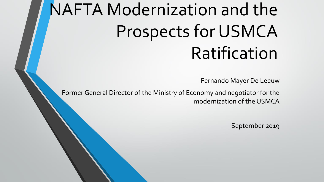# NAFTA Modernization and the Prospects for USMCA Ratification

Fernando Mayer De Leeuw

Former General Director of the Ministry of Economy and negotiator for the modernization of the USMCA

September 2019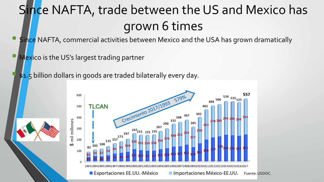## Since NAFTA, trade between the US and Mexico has grown 6 times

Since NAFTA, commercial activities between Mexico and the USA has grown dramatically

Mexico is the US's largest trading partner

\$1.5 billion dollars in goods are traded bilaterally every day.

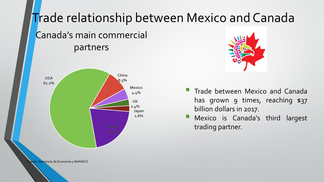### Trade relationship between Mexico and Canada

### Canada's main commercial partners





- Trade between Mexico and Canada has grown 9 times, reaching \$37 billion dollars in 2017.
- **E** Mexico is Canada's third largest trading partner.

Pente: Secretaría de Economía y BANXICO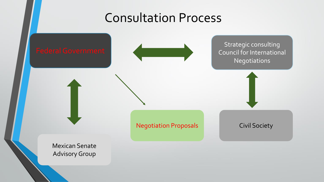### Consultation Process

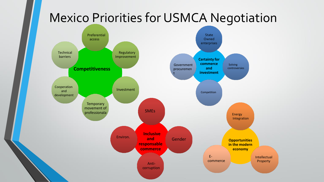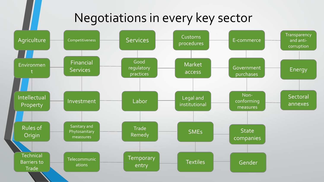### Negotiations in every key sector

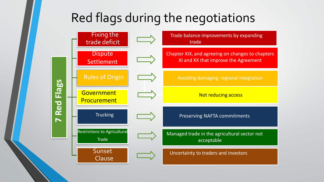### Red flags during the negotiations

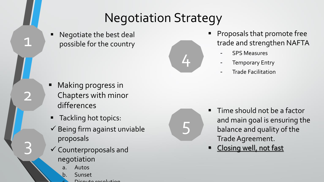### Negotiation Strategy

Negotiate the best deal possible for the country

1

2

3



5

- **Proposals that promote free** trade and strengthen NAFTA
	- **-** SPS Measures
	- **-** Temporary Entry
	- **-** Trade Facilitation

- Making progress in Chapters with minor differences
- Tackling hot topics:
- $\checkmark$  Being firm against unviable proposals
- ✓ Counterproposals and negotiation
	- **Autos**
	- b. Sunset
		- Dicoute resolution
- Time should not be a factor and main goal is ensuring the balance and quality of the Trade Agreement.
- Closing well, not fast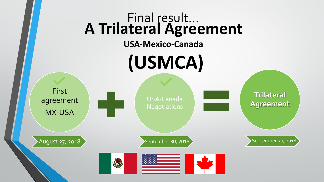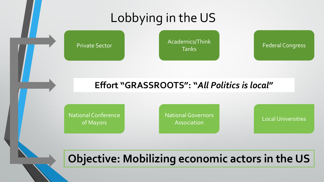### Lobbying in the US

Private Sector **Academics/Think**<br>Tanks

Federal Congress

#### **Effort "GRASSROOTS": "***All Politics is local***"**

National Conference of Mayors

National Governors Association Local Universities

### **Objective: Mobilizing economic actors in the US**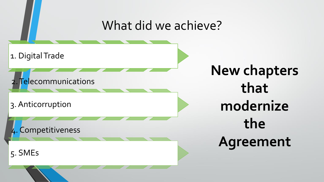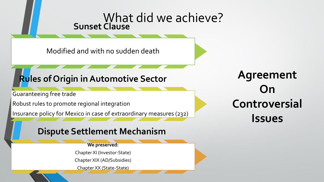#### What did we achieve? **Sunset Clause**

Modified and with no sudden death

### **Rules of Origin in Automotive Sector**

Guaranteeing free trade

Robust rules to promote regional integration

Insurance policy for Mexico in case of extraordinary measures (232)

#### **Dispute Settlement Mechanism**

#### **We preserved:**

Chapter XI (Investor-State)

Chapter XIX (AD/Subsidies)

Chapter XX (State-State)

**Agreement On Controversial Issues**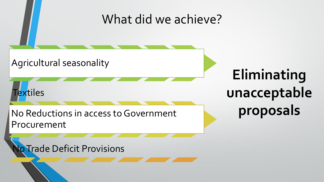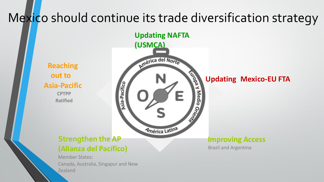### Mexico should continue its trade diversification strategy

**Reaching out to Asia-Pacific CPTPP Ratified**



#### **Strengthen the AP (Alianza del Pacífico)**

Member States: Canada, Australia, Singapur and New Zealand

**Updating Mexico-EU FTA**

#### **Improving Access**

Brazil and Argentina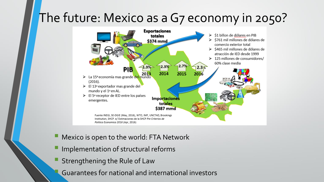### The future: Mexico as a G7 economy in 2050?



- Mexico is open to the world: FTA Network
- Implementation of structural reforms
- Strengthening the Rule of Law
- Guarantees for national and international investors